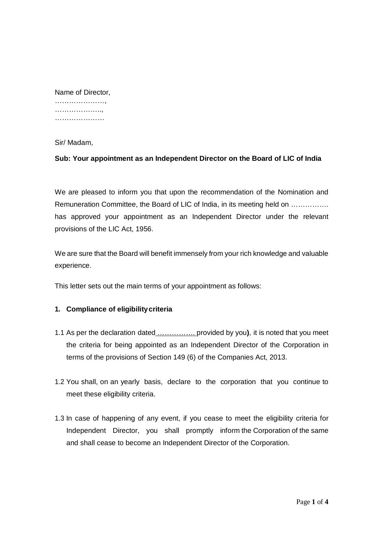……………………… …………………… …………………

Sir/ Madam,

**Sub: Your appointment as an Independent Director on the Board of LIC of India**

We are pleased to inform you that upon the recommendation of the Nomination and Remuneration Committee, the Board of LIC of India, in its meeting held on ................ has approved your appointment as an Independent Director under the relevant provisions of the LIC Act, 1956.

We are sure that the Board will benefit immensely from your rich knowledge and valuable experience.

This letter sets out the main terms of your appointment as follows:

# **1. Compliance of eligibilitycriteria**

- 1.1 As per the declaration dated ……………. provided by you**)**, it is noted that you meet the criteria for being appointed as an Independent Director of the Corporation in terms of the provisions of Section 149 (6) of the Companies Act, 2013.
- 1.2 You shall, on an yearly basis, declare to the corporation that you continue to meet these eligibility criteria.
- 1.3 In case of happening of any event, if you cease to meet the eligibility criteria for Independent Director, you shall promptly inform the Corporation of the same and shall cease to become an Independent Director of the Corporation.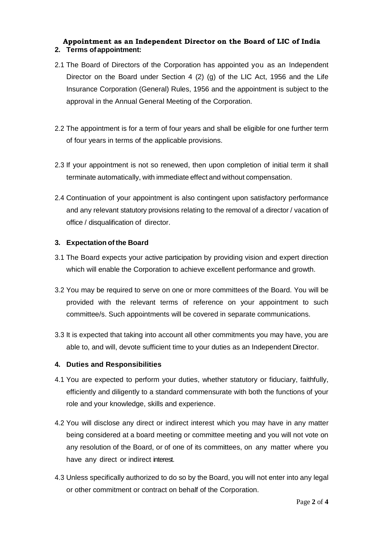## **Appointment as an Independent Director on the Board of LIC of India 2. Terms of appointment:**

- 2.1 The Board of Directors of the Corporation has appointed you as an Independent Director on the Board under Section 4 (2) (g) of the LIC Act, 1956 and the Life Insurance Corporation (General) Rules, 1956 and the appointment is subject to the approval in the Annual General Meeting of the Corporation.
- 2.2 The appointment is for a term of four years and shall be eligible for one further term of four years in terms of the applicable provisions.
- 2.3 If your appointment is not so renewed, then upon completion of initial term it shall terminate automatically, with immediate effect and without compensation.
- 2.4 Continuation of your appointment is also contingent upon satisfactory performance and any relevant statutory provisions relating to the removal of a director / vacation of office / disqualification of director.

## **3. Expectation of the Board**

- 3.1 The Board expects your active participation by providing vision and expert direction which will enable the Corporation to achieve excellent performance and growth.
- 3.2 You may be required to serve on one or more committees of the Board. You will be provided with the relevant terms of reference on your appointment to such committee/s. Such appointments will be covered in separate communications.
- 3.3 It is expected that taking into account all other commitments you may have, you are able to, and will, devote sufficient time to your duties as an Independent Director.

## **4. Duties and Responsibilities**

- 4.1 You are expected to perform your duties, whether statutory or fiduciary, faithfully, efficiently and diligently to a standard commensurate with both the functions of your role and your knowledge, skills and experience.
- 4.2 You will disclose any direct or indirect interest which you may have in any matter being considered at a board meeting or committee meeting and you will not vote on any resolution of the Board, or of one of its committees, on any matter where you have any direct or indirect interest.
- 4.3 Unless specifically authorized to do so by the Board, you will not enter into any legal or other commitment or contract on behalf of the Corporation.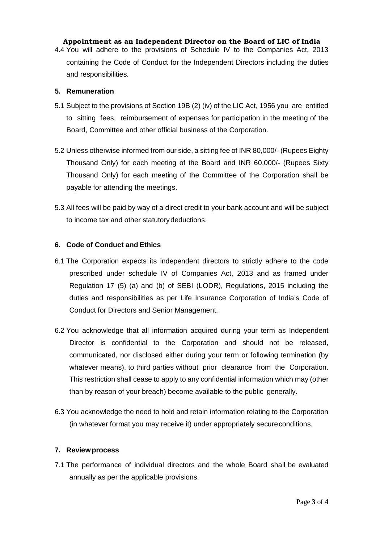## **Appointment as an Independent Director on the Board of LIC of India**

4.4 You will adhere to the provisions of Schedule IV to the Companies Act, 2013 containing the Code of Conduct for the Independent Directors including the duties and responsibilities.

## **5. Remuneration**

- 5.1 Subject to the provisions of Section 19B (2) (iv) of the LIC Act, 1956 you are entitled to sitting fees, reimbursement of expenses for participation in the meeting of the Board, Committee and other official business of the Corporation.
- 5.2 Unless otherwise informed from our side, a sitting fee of INR 80,000/- (Rupees Eighty Thousand Only) for each meeting of the Board and INR 60,000/- (Rupees Sixty Thousand Only) for each meeting of the Committee of the Corporation shall be payable for attending the meetings.
- 5.3 All fees will be paid by way of a direct credit to your bank account and will be subject to income tax and other statutorydeductions.

# **6. Code of Conduct and Ethics**

- 6.1 The Corporation expects its independent directors to strictly adhere to the code prescribed under schedule IV of Companies Act, 2013 and as framed under Regulation 17 (5) (a) and (b) of SEBI (LODR), Regulations, 2015 including the duties and responsibilities as per Life Insurance Corporation of India's Code of Conduct for Directors and Senior Management.
- 6.2 You acknowledge that all information acquired during your term as Independent Director is confidential to the Corporation and should not be released, communicated, nor disclosed either during your term or following termination (by whatever means), to third parties without prior clearance from the Corporation. This restriction shall cease to apply to any confidential information which may (other than by reason of your breach) become available to the public generally.
- 6.3 You acknowledge the need to hold and retain information relating to the Corporation (in whatever format you may receive it) under appropriately secureconditions.

## **7. Reviewprocess**

7.1 The performance of individual directors and the whole Board shall be evaluated annually as per the applicable provisions.